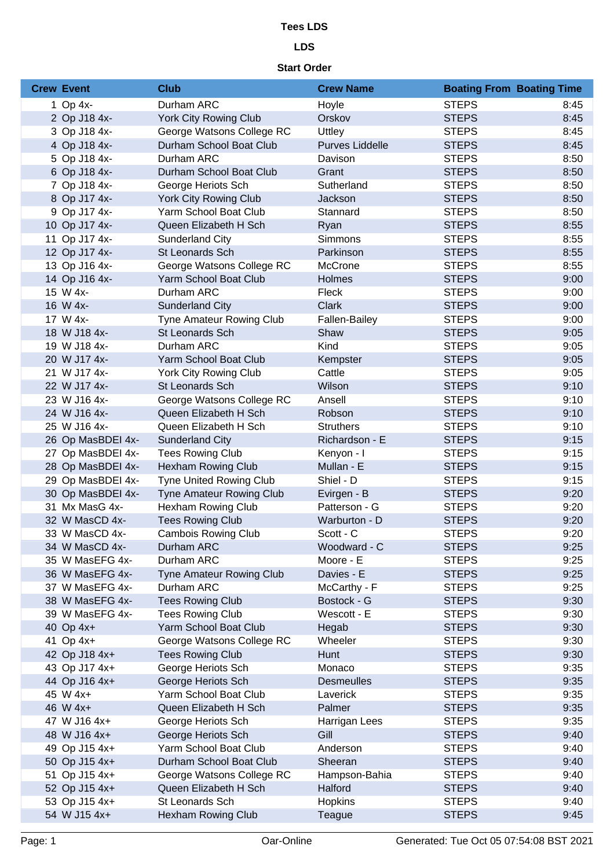# **Tees LDS**

# **LDS**

# **Start Order**

| <b>Crew Event</b> | <b>Club</b>                     | <b>Crew Name</b>       | <b>Boating From Boating Time</b> |      |
|-------------------|---------------------------------|------------------------|----------------------------------|------|
| 1 Op $4x-$        | Durham ARC                      | Hoyle                  | <b>STEPS</b>                     | 8:45 |
| 2 Op J18 4x-      | York City Rowing Club           | Orskov                 | <b>STEPS</b>                     | 8:45 |
| 3 Op J18 4x-      | George Watsons College RC       | Uttley                 | <b>STEPS</b>                     | 8:45 |
| 4 Op J18 4x-      | Durham School Boat Club         | <b>Purves Liddelle</b> | <b>STEPS</b>                     | 8:45 |
| 5 Op J18 4x-      | Durham ARC                      | Davison                | <b>STEPS</b>                     | 8:50 |
| 6 Op J18 4x-      | Durham School Boat Club         | Grant                  | <b>STEPS</b>                     | 8:50 |
| 7 Op J18 4x-      | George Heriots Sch              | Sutherland             | <b>STEPS</b>                     | 8:50 |
| 8 Op J17 4x-      | York City Rowing Club           | Jackson                | <b>STEPS</b>                     | 8:50 |
| 9 Op J17 4x-      | Yarm School Boat Club           | Stannard               | <b>STEPS</b>                     | 8:50 |
| 10 Op J17 4x-     | Queen Elizabeth H Sch           | Ryan                   | <b>STEPS</b>                     | 8:55 |
| 11 Op J17 4x-     | Sunderland City                 | Simmons                | <b>STEPS</b>                     | 8:55 |
| 12 Op J17 4x-     | St Leonards Sch                 | Parkinson              | <b>STEPS</b>                     | 8:55 |
| 13 Op J16 4x-     | George Watsons College RC       | McCrone                | <b>STEPS</b>                     | 8:55 |
| 14 Op J16 4x-     | Yarm School Boat Club           | Holmes                 | <b>STEPS</b>                     | 9:00 |
| 15 W 4x-          | Durham ARC                      | Fleck                  | <b>STEPS</b>                     | 9:00 |
| 16 W 4x-          | <b>Sunderland City</b>          | <b>Clark</b>           | <b>STEPS</b>                     | 9:00 |
| 17 W 4x-          | Tyne Amateur Rowing Club        | Fallen-Bailey          | <b>STEPS</b>                     | 9:00 |
| 18 W J18 4x-      | St Leonards Sch                 | Shaw                   | <b>STEPS</b>                     | 9:05 |
| 19 W J18 4x-      | Durham ARC                      | Kind                   | <b>STEPS</b>                     | 9:05 |
| 20 W J17 4x-      | Yarm School Boat Club           | Kempster               | <b>STEPS</b>                     | 9:05 |
| 21 W J17 4x-      | York City Rowing Club           | Cattle                 | <b>STEPS</b>                     | 9:05 |
| 22 W J17 4x-      | St Leonards Sch                 | Wilson                 | <b>STEPS</b>                     | 9:10 |
| 23 W J16 4x-      | George Watsons College RC       | Ansell                 | <b>STEPS</b>                     | 9:10 |
| 24 W J16 4x-      | Queen Elizabeth H Sch           | Robson                 | <b>STEPS</b>                     | 9:10 |
| 25 W J16 4x-      | Queen Elizabeth H Sch           | <b>Struthers</b>       | <b>STEPS</b>                     | 9:10 |
| 26 Op MasBDEI 4x- | <b>Sunderland City</b>          | Richardson - E         | <b>STEPS</b>                     | 9:15 |
| 27 Op MasBDEI 4x- | <b>Tees Rowing Club</b>         | Kenyon - I             | <b>STEPS</b>                     | 9:15 |
| 28 Op MasBDEI 4x- | <b>Hexham Rowing Club</b>       | Mullan - E             | <b>STEPS</b>                     | 9:15 |
| 29 Op MasBDEI 4x- | <b>Tyne United Rowing Club</b>  | Shiel - D              | <b>STEPS</b>                     | 9:15 |
| 30 Op MasBDEI 4x- | Tyne Amateur Rowing Club        | Evirgen - B            | <b>STEPS</b>                     | 9:20 |
| 31 Mx MasG 4x-    | <b>Hexham Rowing Club</b>       | Patterson - G          | <b>STEPS</b>                     | 9:20 |
| 32 W MasCD 4x-    | <b>Tees Rowing Club</b>         | Warburton - D          | <b>STEPS</b>                     | 9:20 |
| 33 W MasCD 4x-    | <b>Cambois Rowing Club</b>      | Scott - C              | <b>STEPS</b>                     | 9:20 |
| 34 W MasCD 4x-    | Durham ARC                      | Woodward - C           | <b>STEPS</b>                     | 9:25 |
| 35 W MasEFG 4x-   | Durham ARC                      | Moore - E              | <b>STEPS</b>                     | 9:25 |
| 36 W MasEFG 4x-   | <b>Tyne Amateur Rowing Club</b> | Davies - E             | <b>STEPS</b>                     | 9:25 |
| 37 W MasEFG 4x-   | Durham ARC                      | McCarthy - F           | <b>STEPS</b>                     | 9:25 |
| 38 W MasEFG 4x-   | <b>Tees Rowing Club</b>         | Bostock - G            | <b>STEPS</b>                     | 9:30 |
| 39 W MasEFG 4x-   | <b>Tees Rowing Club</b>         | Wescott - E            | <b>STEPS</b>                     | 9:30 |
| 40 Op 4x+         | Yarm School Boat Club           | Hegab                  | <b>STEPS</b>                     | 9:30 |
| 41 Op 4x+         | George Watsons College RC       | Wheeler                | <b>STEPS</b>                     | 9:30 |
| 42 Op J18 4x+     | <b>Tees Rowing Club</b>         | Hunt                   | <b>STEPS</b>                     | 9:30 |
| 43 Op J17 4x+     | George Heriots Sch              | Monaco                 | <b>STEPS</b>                     | 9:35 |
| 44 Op J16 4x+     | George Heriots Sch              | <b>Desmeulles</b>      | <b>STEPS</b>                     | 9:35 |
| 45 W 4x+          | Yarm School Boat Club           | Laverick               | <b>STEPS</b>                     | 9:35 |
| 46 W 4x+          | Queen Elizabeth H Sch           | Palmer                 | <b>STEPS</b>                     | 9:35 |
| 47 W J16 4x+      | George Heriots Sch              | Harrigan Lees          | <b>STEPS</b>                     | 9:35 |
| 48 W J16 4x+      | George Heriots Sch              | Gill                   | <b>STEPS</b>                     | 9:40 |
| 49 Op J15 4x+     | Yarm School Boat Club           | Anderson               | <b>STEPS</b>                     | 9:40 |
| 50 Op J15 4x+     | Durham School Boat Club         | Sheeran                | <b>STEPS</b>                     | 9:40 |
| 51 Op J15 4x+     | George Watsons College RC       | Hampson-Bahia          | <b>STEPS</b>                     | 9:40 |
| 52 Op J15 4x+     | Queen Elizabeth H Sch           | Halford                | <b>STEPS</b>                     | 9:40 |
| 53 Op J15 4x+     | St Leonards Sch                 | <b>Hopkins</b>         | <b>STEPS</b>                     | 9:40 |
| 54 W J15 4x+      | <b>Hexham Rowing Club</b>       | Teague                 | <b>STEPS</b>                     | 9:45 |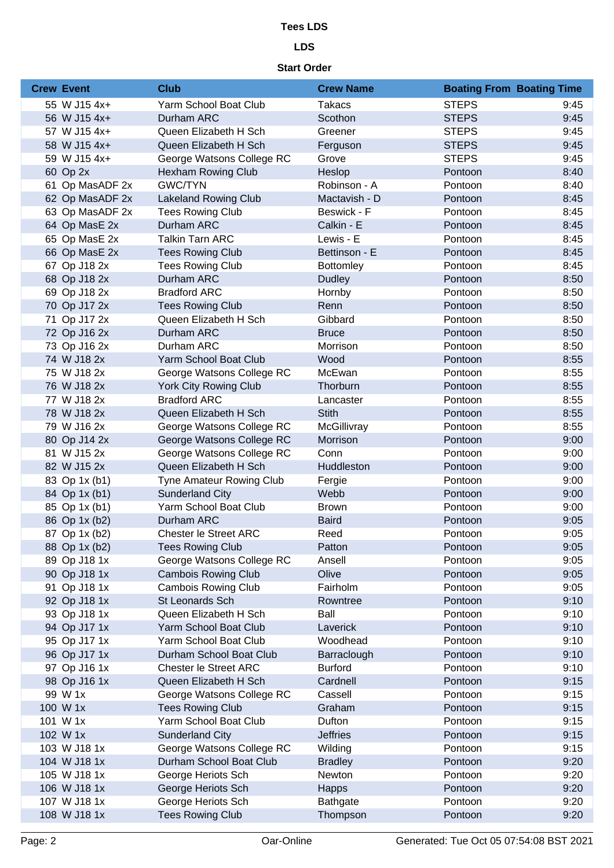# **Tees LDS**

# **LDS**

# **Start Order**

| <b>Crew Event</b> | <b>Club</b>                  | <b>Crew Name</b> | <b>Boating From Boating Time</b> |      |
|-------------------|------------------------------|------------------|----------------------------------|------|
| 55 W J15 4x+      | Yarm School Boat Club        | <b>Takacs</b>    | <b>STEPS</b>                     | 9:45 |
| 56 W J15 4x+      | Durham ARC                   | Scothon          | <b>STEPS</b>                     | 9:45 |
| 57 W J15 4x+      | Queen Elizabeth H Sch        | Greener          | <b>STEPS</b>                     | 9:45 |
| 58 W J15 4x+      | Queen Elizabeth H Sch        | Ferguson         | <b>STEPS</b>                     | 9:45 |
| 59 W J15 4x+      | George Watsons College RC    | Grove            | <b>STEPS</b>                     | 9:45 |
| 60 Op 2x          | <b>Hexham Rowing Club</b>    | Heslop           | Pontoon                          | 8:40 |
| 61 Op MasADF 2x   | <b>GWC/TYN</b>               | Robinson - A     | Pontoon                          | 8:40 |
| 62 Op MasADF 2x   | <b>Lakeland Rowing Club</b>  | Mactavish - D    | Pontoon                          | 8:45 |
| 63 Op MasADF 2x   | <b>Tees Rowing Club</b>      | Beswick - F      | Pontoon                          | 8:45 |
| 64 Op MasE 2x     | Durham ARC                   | Calkin - E       | Pontoon                          | 8:45 |
| 65 Op MasE 2x     | <b>Talkin Tarn ARC</b>       | Lewis - E        | Pontoon                          | 8:45 |
| 66 Op MasE 2x     | <b>Tees Rowing Club</b>      | Bettinson - E    | Pontoon                          | 8:45 |
| 67 Op J18 2x      | <b>Tees Rowing Club</b>      | <b>Bottomley</b> | Pontoon                          | 8:45 |
| 68 Op J18 2x      | Durham ARC                   | <b>Dudley</b>    | Pontoon                          | 8:50 |
| 69 Op J18 2x      | <b>Bradford ARC</b>          | Hornby           | Pontoon                          | 8:50 |
| 70 Op J17 2x      | <b>Tees Rowing Club</b>      | Renn             | Pontoon                          | 8:50 |
| 71 Op J17 2x      | Queen Elizabeth H Sch        | Gibbard          | Pontoon                          | 8:50 |
| 72 Op J16 2x      | Durham ARC                   | <b>Bruce</b>     | Pontoon                          | 8:50 |
| 73 Op J16 2x      | Durham ARC                   | Morrison         | Pontoon                          | 8:50 |
| 74 W J18 2x       | Yarm School Boat Club        | Wood             | Pontoon                          | 8:55 |
| 75 W J18 2x       | George Watsons College RC    | McEwan           | Pontoon                          | 8:55 |
| 76 W J18 2x       | <b>York City Rowing Club</b> | Thorburn         | Pontoon                          | 8:55 |
| 77 W J18 2x       | <b>Bradford ARC</b>          | Lancaster        | Pontoon                          | 8:55 |
| 78 W J18 2x       | Queen Elizabeth H Sch        | <b>Stith</b>     | Pontoon                          | 8:55 |
| 79 W J16 2x       | George Watsons College RC    | McGillivray      | Pontoon                          | 8:55 |
| 80 Op J14 2x      | George Watsons College RC    | Morrison         | Pontoon                          | 9:00 |
| 81 W J15 2x       | George Watsons College RC    | Conn             | Pontoon                          | 9:00 |
| 82 W J15 2x       | Queen Elizabeth H Sch        | Huddleston       | Pontoon                          | 9:00 |
| 83 Op 1x (b1)     | Tyne Amateur Rowing Club     | Fergie           | Pontoon                          | 9:00 |
| 84 Op 1x (b1)     | <b>Sunderland City</b>       | Webb             | Pontoon                          | 9:00 |
| 85 Op 1x (b1)     | Yarm School Boat Club        | <b>Brown</b>     | Pontoon                          | 9:00 |
| 86 Op 1x (b2)     | Durham ARC                   | <b>Baird</b>     | Pontoon                          | 9:05 |
| 87 Op 1x (b2)     | <b>Chester le Street ARC</b> | Reed             | Pontoon                          | 9:05 |
| 88 Op 1x (b2)     | <b>Tees Rowing Club</b>      | Patton           | Pontoon                          | 9:05 |
| 89 Op J18 1x      | George Watsons College RC    | Ansell           | Pontoon                          | 9:05 |
| 90 Op J18 1x      | <b>Cambois Rowing Club</b>   | Olive            | Pontoon                          | 9:05 |
| 91 Op J18 1x      | <b>Cambois Rowing Club</b>   | Fairholm         | Pontoon                          | 9:05 |
| 92 Op J18 1x      | St Leonards Sch              | Rowntree         | Pontoon                          | 9:10 |
| 93 Op J18 1x      | Queen Elizabeth H Sch        | Ball             | Pontoon                          | 9:10 |
| 94 Op J17 1x      | Yarm School Boat Club        | Laverick         | Pontoon                          | 9:10 |
| 95 Op J17 1x      | Yarm School Boat Club        | Woodhead         | Pontoon                          | 9:10 |
| 96 Op J17 1x      | Durham School Boat Club      | Barraclough      | Pontoon                          | 9:10 |
| 97 Op J16 1x      | Chester le Street ARC        | <b>Burford</b>   | Pontoon                          | 9:10 |
| 98 Op J16 1x      | Queen Elizabeth H Sch        | Cardnell         | Pontoon                          | 9:15 |
| 99 W 1x           | George Watsons College RC    | Cassell          | Pontoon                          | 9:15 |
| 100 W 1x          | <b>Tees Rowing Club</b>      | Graham           | Pontoon                          | 9:15 |
| 101 W 1x          | Yarm School Boat Club        | Dufton           | Pontoon                          | 9:15 |
| 102 W 1x          | <b>Sunderland City</b>       | <b>Jeffries</b>  | Pontoon                          | 9:15 |
| 103 W J18 1x      | George Watsons College RC    | Wilding          | Pontoon                          | 9:15 |
| 104 W J18 1x      | Durham School Boat Club      | <b>Bradley</b>   | Pontoon                          | 9:20 |
| 105 W J18 1x      | George Heriots Sch           | Newton           | Pontoon                          | 9:20 |
| 106 W J18 1x      | George Heriots Sch           | <b>Happs</b>     | Pontoon                          | 9:20 |
| 107 W J18 1x      | George Heriots Sch           | <b>Bathgate</b>  | Pontoon                          | 9:20 |
| 108 W J18 1x      | <b>Tees Rowing Club</b>      | Thompson         | Pontoon                          | 9:20 |